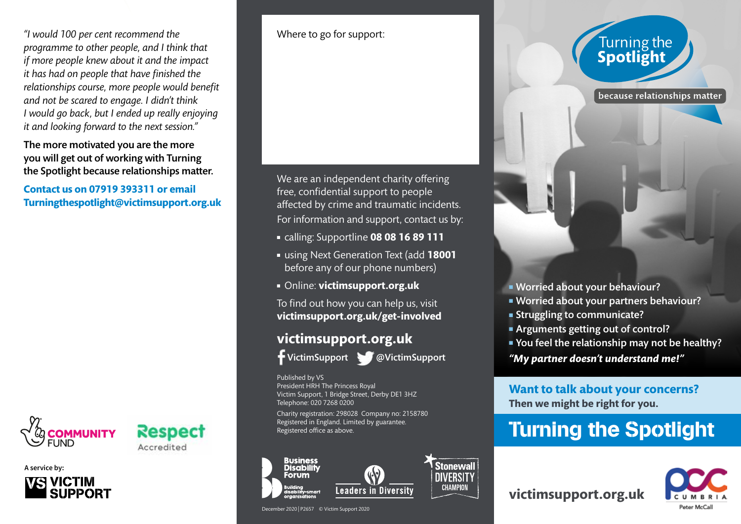*"I would 100 per cent recommend the programme to other people, and I think that if more people knew about it and the impact it has had on people that have finished the relationships course, more people would benefit and not be scared to engage. I didn't think I would go back, but I ended up really enjoying it and looking forward to the next session."*

The more motivated you are the more you will get out of working with Turning the Spotlight because relationships matter.

**Contact us on 07919 393311 or email Turningthespotlight@victimsupport.org.uk**



Respect Accredited

**A service by:**



Where to go for support:

We are an independent charity offering free, confidential support to people affected by crime and traumatic incidents. For information and support, contact us by:

- <sup>n</sup> calling: Supportline **08 08 16 89 111**
- <sup>n</sup> using Next Generation Text (add **18001** before any of our phone numbers)
- <sup>n</sup> Online: **victimsupport.org.uk**

To find out how you can help us, visit **victimsupport.org.uk/get-involved**

### **victimsupport.org.uk**



VictimSupport @VictimSupport

**Stonewall** 

**DIVERSITY CHAMPION** 

Published by VS President HRH The Princess Royal Victim Support, 1 Bridge Street, Derby DE1 3HZ Telephone: 020 7268 0200

Charity registration: 298028 Company no: 2158780 Registered in England. Limited by guarantee. Registered office as above.



December 2020 | P2657 © Victim Support 2020

# Turning the<br>**Spotlight**

because relationships matter

- **Norried about your behaviour?**
- **Norried about your partners behaviour?**
- **Example 3 In Struggling to communicate?**
- Arguments getting out of control?
- You feel the relationship may not be healthy?

*"My partner doesn't understand me!"*

**Want to talk about your concerns? Then we might be right for you.**

## Turning the Spotlight

**victimsupport.org.uk**